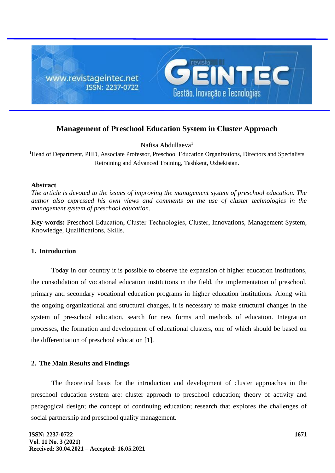

# **Management of Preschool Education System in Cluster Approach**

Nafisa Abdullaeva<sup>1</sup>

<sup>1</sup>Head of Department, PHD, Associate Professor, Preschool Education Organizations, Directors and Specialists Retraining and Advanced Training, Tashkent, Uzbekistan.

### **Abstract**

*The article is devoted to the issues of improving the management system of preschool education. The author also expressed his own views and comments on the use of cluster technologies in the management system of preschool education.*

**Key-words:** Preschool Education, Cluster Technologies, Сluster, Innovations, Management System, Knowledge, Qualifications, Skills.

## **1. Introduction**

Today in our country it is possible to observe the expansion of higher education institutions, the consolidation of vocational education institutions in the field, the implementation of preschool, primary and secondary vocational education programs in higher education institutions. Along with the ongoing organizational and structural changes, it is necessary to make structural changes in the system of pre-school education, search for new forms and methods of education. Integration processes, the formation and development of educational clusters, one of which should be based on the differentiation of preschool education [1].

## **2. The Main Results and Findings**

The theoretical basis for the introduction and development of cluster approaches in the preschool education system are: cluster approach to preschool education; theory of activity and pedagogical design; the concept of continuing education; research that explores the challenges of social partnership and preschool quality management.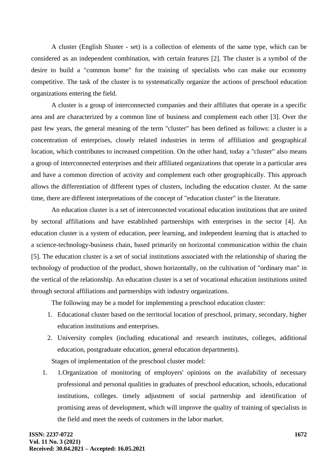A cluster (English Sluster - set) is a collection of elements of the same type, which can be considered as an independent combination, with certain features [2]. The cluster is a symbol of the desire to build a "common home" for the training of specialists who can make our economy competitive. The task of the cluster is to systematically organize the actions of preschool education organizations entering the field.

A cluster is a group of interconnected companies and their affiliates that operate in a specific area and are characterized by a common line of business and complement each other [3]. Over the past few years, the general meaning of the term "cluster" has been defined as follows: a cluster is a concentration of enterprises, closely related industries in terms of affiliation and geographical location, which contributes to increased competition. On the other hand, today a "cluster" also means a group of interconnected enterprises and their affiliated organizations that operate in a particular area and have a common direction of activity and complement each other geographically. This approach allows the differentiation of different types of clusters, including the education cluster. At the same time, there are different interpretations of the concept of "education cluster" in the literature.

An education cluster is a set of interconnected vocational education institutions that are united by sectoral affiliations and have established partnerships with enterprises in the sector [4]. An education cluster is a system of education, peer learning, and independent learning that is attached to a science-technology-business chain, based primarily on horizontal communication within the chain [5]. The education cluster is a set of social institutions associated with the relationship of sharing the technology of production of the product, shown horizontally, on the cultivation of "ordinary man" in the vertical of the relationship. An education cluster is a set of vocational education institutions united through sectoral affiliations and partnerships with industry organizations.

The following may be a model for implementing a preschool education cluster:

- 1. Educational cluster based on the territorial location of preschool, primary, secondary, higher education institutions and enterprises.
- 2. University complex (including educational and research institutes, colleges, additional education, postgraduate education, general education departments).

Stages of implementation of the preschool cluster model:

1. 1.Organization of monitoring of employers' opinions on the availability of necessary professional and personal qualities in graduates of preschool education, schools, educational institutions, colleges. timely adjustment of social partnership and identification of promising areas of development, which will improve the quality of training of specialists in the field and meet the needs of customers in the labor market.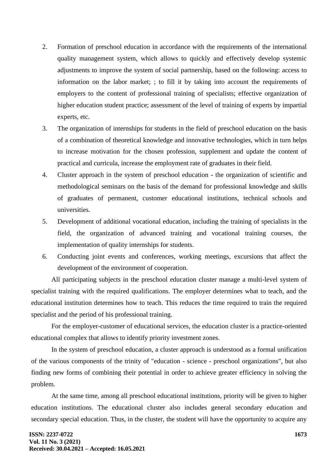- 2. Formation of preschool education in accordance with the requirements of the international quality management system, which allows to quickly and effectively develop systemic adjustments to improve the system of social partnership, based on the following: access to information on the labor market; ; to fill it by taking into account the requirements of employers to the content of professional training of specialists; effective organization of higher education student practice; assessment of the level of training of experts by impartial experts, etc.
- 3. The organization of internships for students in the field of preschool education on the basis of a combination of theoretical knowledge and innovative technologies, which in turn helps to increase motivation for the chosen profession, supplement and update the content of practical and curricula, increase the employment rate of graduates in their field.
- 4. Cluster approach in the system of preschool education the organization of scientific and methodological seminars on the basis of the demand for professional knowledge and skills of graduates of permanent, customer educational institutions, technical schools and universities.
- 5. Development of additional vocational education, including the training of specialists in the field, the organization of advanced training and vocational training courses, the implementation of quality internships for students.
- 6. Conducting joint events and conferences, working meetings, excursions that affect the development of the environment of cooperation.

All participating subjects in the preschool education cluster manage a multi-level system of specialist training with the required qualifications. The employer determines what to teach, and the educational institution determines how to teach. This reduces the time required to train the required specialist and the period of his professional training.

For the employer-customer of educational services, the education cluster is a practice-oriented educational complex that allows to identify priority investment zones.

In the system of preschool education, a cluster approach is understood as a formal unification of the various components of the trinity of "education - science - preschool organizations", but also finding new forms of combining their potential in order to achieve greater efficiency in solving the problem.

At the same time, among all preschool educational institutions, priority will be given to higher education institutions. The educational cluster also includes general secondary education and secondary special education. Thus, in the cluster, the student will have the opportunity to acquire any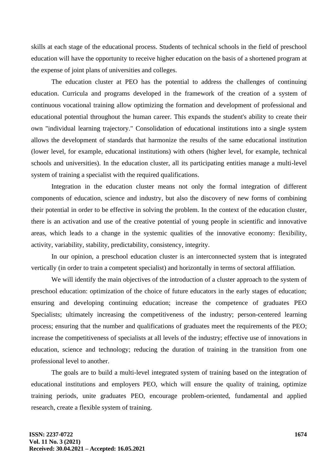skills at each stage of the educational process. Students of technical schools in the field of preschool education will have the opportunity to receive higher education on the basis of a shortened program at the expense of joint plans of universities and colleges.

The education cluster at PEO has the potential to address the challenges of continuing education. Curricula and programs developed in the framework of the creation of a system of continuous vocational training allow optimizing the formation and development of professional and educational potential throughout the human career. This expands the student's ability to create their own "individual learning trajectory." Consolidation of educational institutions into a single system allows the development of standards that harmonize the results of the same educational institution (lower level, for example, educational institutions) with others (higher level, for example, technical schools and universities). In the education cluster, all its participating entities manage a multi-level system of training a specialist with the required qualifications.

Integration in the education cluster means not only the formal integration of different components of education, science and industry, but also the discovery of new forms of combining their potential in order to be effective in solving the problem. In the context of the education cluster, there is an activation and use of the creative potential of young people in scientific and innovative areas, which leads to a change in the systemic qualities of the innovative economy: flexibility, activity, variability, stability, predictability, consistency, integrity.

In our opinion, a preschool education cluster is an interconnected system that is integrated vertically (in order to train a competent specialist) and horizontally in terms of sectoral affiliation.

We will identify the main objectives of the introduction of a cluster approach to the system of preschool education: optimization of the choice of future educators in the early stages of education; ensuring and developing continuing education; increase the competence of graduates PEO Specialists; ultimately increasing the competitiveness of the industry; person-centered learning process; ensuring that the number and qualifications of graduates meet the requirements of the PEO; increase the competitiveness of specialists at all levels of the industry; effective use of innovations in education, science and technology; reducing the duration of training in the transition from one professional level to another.

The goals are to build a multi-level integrated system of training based on the integration of educational institutions and employers PEO, which will ensure the quality of training, optimize training periods, unite graduates PEO, encourage problem-oriented, fundamental and applied research, create a flexible system of training.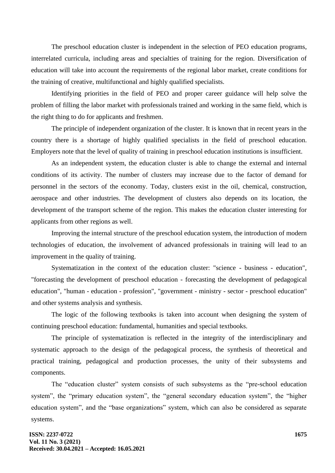The preschool education cluster is independent in the selection of PEO education programs, interrelated curricula, including areas and specialties of training for the region. Diversification of education will take into account the requirements of the regional labor market, create conditions for the training of creative, multifunctional and highly qualified specialists.

Identifying priorities in the field of PEO and proper career guidance will help solve the problem of filling the labor market with professionals trained and working in the same field, which is the right thing to do for applicants and freshmen.

The principle of independent organization of the cluster. It is known that in recent years in the country there is a shortage of highly qualified specialists in the field of preschool education. Employers note that the level of quality of training in preschool education institutions is insufficient.

As an independent system, the education cluster is able to change the external and internal conditions of its activity. The number of clusters may increase due to the factor of demand for personnel in the sectors of the economy. Today, clusters exist in the oil, chemical, construction, aerospace and other industries. The development of clusters also depends on its location, the development of the transport scheme of the region. This makes the education cluster interesting for applicants from other regions as well.

Improving the internal structure of the preschool education system, the introduction of modern technologies of education, the involvement of advanced professionals in training will lead to an improvement in the quality of training.

Systematization in the context of the education cluster: "science - business - education", "forecasting the development of preschool education - forecasting the development of pedagogical education", "human - education - profession", "government - ministry - sector - preschool education" and other systems analysis and synthesis.

The logic of the following textbooks is taken into account when designing the system of continuing preschool education: fundamental, humanities and special textbooks.

The principle of systematization is reflected in the integrity of the interdisciplinary and systematic approach to the design of the pedagogical process, the synthesis of theoretical and practical training, pedagogical and production processes, the unity of their subsystems and components.

The "education cluster" system consists of such subsystems as the "pre-school education system", the "primary education system", the "general secondary education system", the "higher education system", and the "base organizations" system, which can also be considered as separate systems.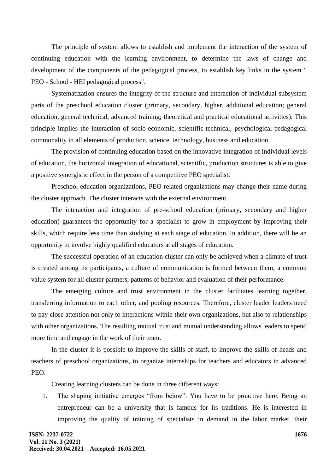The principle of system allows to establish and implement the interaction of the system of continuing education with the learning environment, to determine the laws of change and development of the components of the pedagogical process, to establish key links in the system " PEO - School - HEI pedagogical process".

Systematization ensures the integrity of the structure and interaction of individual subsystem parts of the preschool education cluster (primary, secondary, higher, additional education; general education, general technical, advanced training; theoretical and practical educational activities). This principle implies the interaction of socio-economic, scientific-technical, psychological-pedagogical commonality in all elements of production, science, technology, business and education.

The provision of continuing education based on the innovative integration of individual levels of education, the horizontal integration of educational, scientific, production structures is able to give a positive synergistic effect in the person of a competitive PEO specialist.

Preschool education organizations, PEO-related organizations may change their name during the cluster approach. The cluster interacts with the external environment.

The interaction and integration of pre-school education (primary, secondary and higher education) guarantees the opportunity for a specialist to grow in employment by improving their skills, which require less time than studying at each stage of education. In addition, there will be an opportunity to involve highly qualified educators at all stages of education.

The successful operation of an education cluster can only be achieved when a climate of trust is created among its participants, a culture of communication is formed between them, a common value system for all cluster partners, patterns of behavior and evaluation of their performance.

The emerging culture and trust environment in the cluster facilitates learning together, transferring information to each other, and pooling resources. Therefore, cluster leader leaders need to pay close attention not only to interactions within their own organizations, but also to relationships with other organizations. The resulting mutual trust and mutual understanding allows leaders to spend more time and engage in the work of their team.

In the cluster it is possible to improve the skills of staff, to improve the skills of heads and teachers of preschool organizations, to organize internships for teachers and educators in advanced PEO.

Creating learning clusters can be done in three different ways:

1. The shaping initiative emerges "from below". You have to be proactive here. Being an entrepreneur can be a university that is famous for its traditions. He is interested in improving the quality of training of specialists in demand in the labor market, their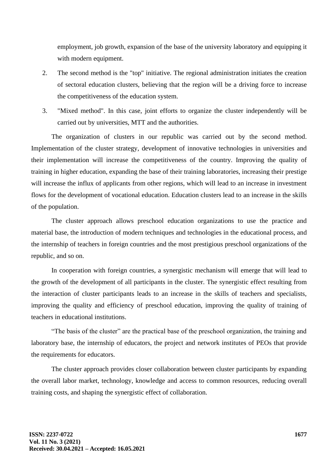employment, job growth, expansion of the base of the university laboratory and equipping it with modern equipment.

- 2. The second method is the "top" initiative. The regional administration initiates the creation of sectoral education clusters, believing that the region will be a driving force to increase the competitiveness of the education system.
- 3. "Mixed method". In this case, joint efforts to organize the cluster independently will be carried out by universities, MTT and the authorities.

The organization of clusters in our republic was carried out by the second method. Implementation of the cluster strategy, development of innovative technologies in universities and their implementation will increase the competitiveness of the country. Improving the quality of training in higher education, expanding the base of their training laboratories, increasing their prestige will increase the influx of applicants from other regions, which will lead to an increase in investment flows for the development of vocational education. Education clusters lead to an increase in the skills of the population.

The cluster approach allows preschool education organizations to use the practice and material base, the introduction of modern techniques and technologies in the educational process, and the internship of teachers in foreign countries and the most prestigious preschool organizations of the republic, and so on.

In cooperation with foreign countries, a synergistic mechanism will emerge that will lead to the growth of the development of all participants in the cluster. The synergistic effect resulting from the interaction of cluster participants leads to an increase in the skills of teachers and specialists, improving the quality and efficiency of preschool education, improving the quality of training of teachers in educational institutions.

"The basis of the cluster" are the practical base of the preschool organization, the training and laboratory base, the internship of educators, the project and network institutes of PEOs that provide the requirements for educators.

The cluster approach provides closer collaboration between cluster participants by expanding the overall labor market, technology, knowledge and access to common resources, reducing overall training costs, and shaping the synergistic effect of collaboration.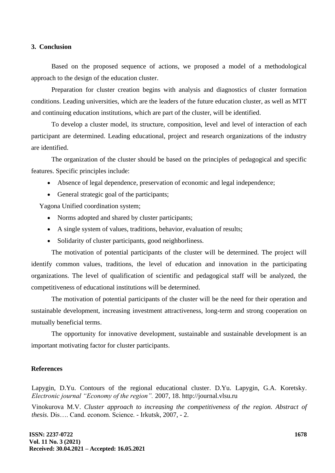#### **3. Conclusion**

Based on the proposed sequence of actions, we proposed a model of a methodological approach to the design of the education cluster.

Preparation for cluster creation begins with analysis and diagnostics of cluster formation conditions. Leading universities, which are the leaders of the future education cluster, as well as MTT and continuing education institutions, which are part of the cluster, will be identified.

To develop a cluster model, its structure, composition, level and level of interaction of each participant are determined. Leading educational, project and research organizations of the industry are identified.

The organization of the cluster should be based on the principles of pedagogical and specific features. Specific principles include:

- Absence of legal dependence, preservation of economic and legal independence;
- General strategic goal of the participants;

Yagona Unified coordination system;

- Norms adopted and shared by cluster participants;
- A single system of values, traditions, behavior, evaluation of results;
- Solidarity of cluster participants, good neighborliness.

The motivation of potential participants of the cluster will be determined. The project will identify common values, traditions, the level of education and innovation in the participating organizations. The level of qualification of scientific and pedagogical staff will be analyzed, the competitiveness of educational institutions will be determined.

The motivation of potential participants of the cluster will be the need for their operation and sustainable development, increasing investment attractiveness, long-term and strong cooperation on mutually beneficial terms.

The opportunity for innovative development, sustainable and sustainable development is an important motivating factor for cluster participants.

#### **References**

Lapygin, D.Yu. Contours of the regional educational cluster. D.Yu. Lapygin, G.A. Koretsky. *Electronic journal "Economy of the region".* 2007, 18. http://journal.vlsu.ru

Vinokurova M.V. *Cluster approach to increasing the competitiveness of the region. Abstract of thesis.* Dis…. Cand. econom. Science. - Irkutsk, 2007, - 2.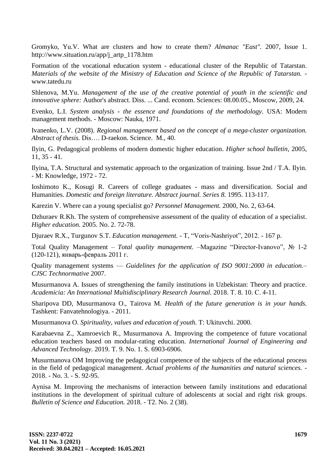Gromyko, Yu.V. What are clusters and how to create them? *Almanac "East".* 2007, Issue 1. http://www.situation.ru/app/j\_artp\_1178.htm

Formation of the vocational education system - educational cluster of the Republic of Tatarstan. *Materials of the website of the Ministry of Education and Science of the Republic of Tatarstan.* www.tatedu.ru

Shlenova, M.Yu. *Management of the use of the creative potential of youth in the scientific and innovative sphere:* Author's abstract. Diss. ... Cand. econom. Sciences: 08.00.05., Moscow, 2009, 24.

Evenko, L.I. *System analysis - the essence and foundations of the methodology.* USA: Modern management methods. - Moscow: Nauka, 1971.

Ivanenko, L.V. (2008). *Regional management based on the concept of a mega-cluster organization. Abstract of thesis.* Dis…. D-raekon. Science. M., 40.

Ilyin, G. Pedagogical problems of modern domestic higher education. *Higher school bulletin,* 2005, 11, 35 - 41.

Ilyina, T.A. Structural and systematic approach to the organization of training. Issue 2nd / T.A. Ilyin. - M: Knowledge, 1972 - 72.

Ioshimoto K., Kosugi R. Careers of college graduates - mass and diversification. Social and Humanities. *Domestic and foreign literature. Abstract journal. Series 8.* 1995. 113-117.

Karezin V. Where can a young specialist go? *Personnel Management.* 2000, No. 2, 63-64.

Dzhuraev R.Kh. The system of comprehensive assessment of the quality of education of a specialist. *Higher education.* 2005. No. 2. 72-78.

Djuraev R.X., Turgunov S.T. *Education management.* - T, "Voris-Nashriyot", 2012. - 167 p.

Total Quality Management – *Total quality management. –*Magazine "Director-Ivanovo", № 1-2 (120-121), январь-февраль 2011 г.

Quality management systems — *Guidelines for the application of ISO 9001:2000 in education.– CJSC Technormative* 2007.

Musurmanova A. Issues of strengthening the family institutions in Uzbekistan: Theory and practice. *Academicia: An International Multidisciplinary Research Journal.* 2018. Т. 8. 10. С. 4-11.

Sharipova DD, Musurmanova O., Tairova M. *Health of the future generation is in your hands.* Tashkent: Fanvatehnologiya. - 2011.

Musurmanova O. *Spirituality, values and education of youth.* T: Ukituvchi. 2000.

Karabaevna Z., Xamroevich R., Musurmanova A. Improving the competence of future vocational education teachers based on modular-rating education. *International Journal of Engineering and Advanced Technology.* 2019. T. 9. No. 1. S. 6903-6906.

Musurmanova OM Improving the pedagogical competence of the subjects of the educational process in the field of pedagogical management. *Actual problems of the humanities and natural sciences. -* 2018. - No. 3. - S. 92-95.

Aynisa M. Improving the mechanisms of interaction between family institutions and educational institutions in the development of spiritual culture of adolescents at social and right risk groups. *Bulletin of Science and Education.* 2018. - T2. No. 2 (38).